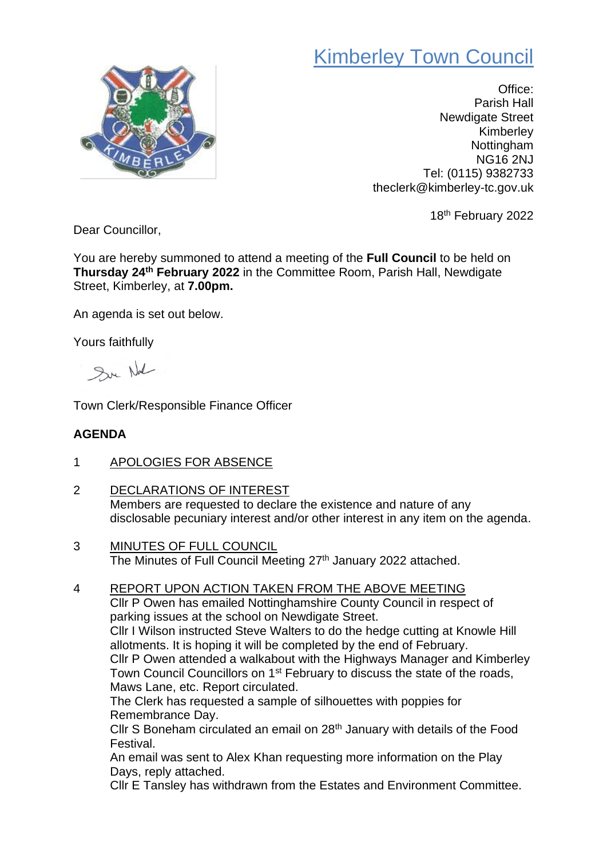## Kimberley Town Council



Office: Parish Hall Newdigate Street Kimberley Nottingham NG16 2NJ Tel: (0115) 9382733 theclerk@kimberley-tc.gov.uk

18<sup>th</sup> February 2022

Dear Councillor,

You are hereby summoned to attend a meeting of the **Full Council** to be held on **Thursday 24th February 2022** in the Committee Room, Parish Hall, Newdigate Street, Kimberley, at **7.00pm.**

An agenda is set out below.

Yours faithfully

Sur Not

Town Clerk/Responsible Finance Officer

## **AGENDA**

- 1 APOLOGIES FOR ABSENCE
- 2 DECLARATIONS OF INTEREST Members are requested to declare the existence and nature of any disclosable pecuniary interest and/or other interest in any item on the agenda.
- 3 MINUTES OF FULL COUNCIL The Minutes of Full Council Meeting 27<sup>th</sup> January 2022 attached.
- 4 REPORT UPON ACTION TAKEN FROM THE ABOVE MEETING Cllr P Owen has emailed Nottinghamshire County Council in respect of parking issues at the school on Newdigate Street. Cllr I Wilson instructed Steve Walters to do the hedge cutting at Knowle Hill allotments. It is hoping it will be completed by the end of February. Cllr P Owen attended a walkabout with the Highways Manager and Kimberley Town Council Councillors on 1<sup>st</sup> February to discuss the state of the roads, Maws Lane, etc. Report circulated. The Clerk has requested a sample of silhouettes with poppies for Remembrance Day. Cllr S Boneham circulated an email on 28th January with details of the Food Festival. An email was sent to Alex Khan requesting more information on the Play Days, reply attached.

Cllr E Tansley has withdrawn from the Estates and Environment Committee.